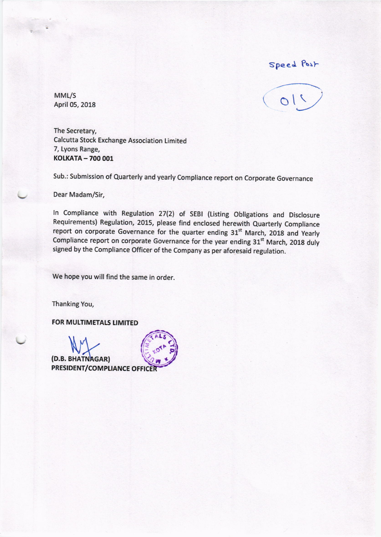Speed Post

MML/S April 05, 2018



The Secretary, Calcutta Stock Exchange Association Limited 7, Lyons Range, KOLKATA - 700 001

Sub.: Submission of Quarterly and yearly Compliance report on Corporate Governance

Dear Madam/Sir,

In Compliance with Regulation 27(2) of SEBI (Listing Obligations and Disclosure Requirements) Regulation, 2015, please find enclosed herewith Quarterly Compliance report on corporate Governance for the quarter ending 31<sup>st</sup> March, 2018 and Yearly Compliance report on corporate Governance for the year ending  $31<sup>st</sup>$  March, 2018 duly signed by the Compliance Officer of the Company as per aforesaid regulation.

We hope you will find the same in order.

Thanking You,

FOR MULTIMETALS LIMITED

(D.B. BHATNAGAR)<br>PRESIDENT/COMPLIANCE OFFICE